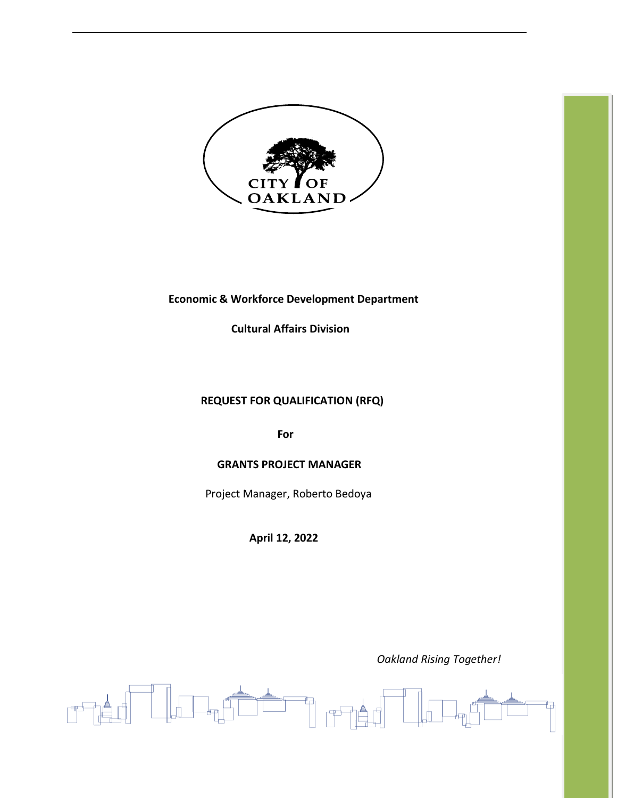

# **Economic & Workforce Development Department**

 **Cultural Affairs Division** 

### **REQUEST FOR QUALIFICATION (RFQ)**

 *For* 

### **GRANTS PROJECT MANAGER**

Project Manager, Roberto Bedoya

 **April 12, 2022**

 *Oakland Rising Together!*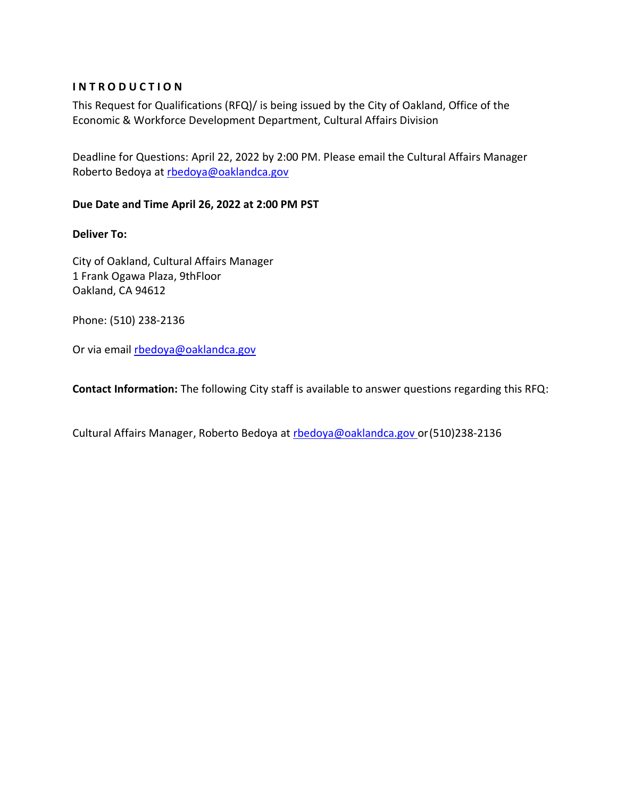#### **I N T R O D U C T I O N**

This Request for Qualifications (RFQ)/ is being issued by the City of Oakland, Office of the Economic & Workforce Development Department, Cultural Affairs Division

Deadline for Questions: April 22, 2022 by 2:00 PM. Please email the Cultural Affairs Manager Roberto Bedoya at [rbedoya@oaklandca.gov](mailto:rbedoya@oaklandca.gov)

#### **Due Date and Time April 26, 2022 at 2:00 PM PST**

#### **Deliver To:**

City of Oakland, Cultural Affairs Manager 1 Frank Ogawa Plaza, 9thFloor Oakland, CA 94612

Phone: (510) 238-2136

Or via email [rbedoya@oaklandca.gov](mailto:rbedoya@oaklandnet.com)

**Contact Information:** The following City staff is available to answer questions regarding this RFQ:

Cultural Affairs Manager, Roberto Bedoya at [rbedoya@oaklandca.gov](mailto:rbedoya@oaklandca.gov) or(510)238-2136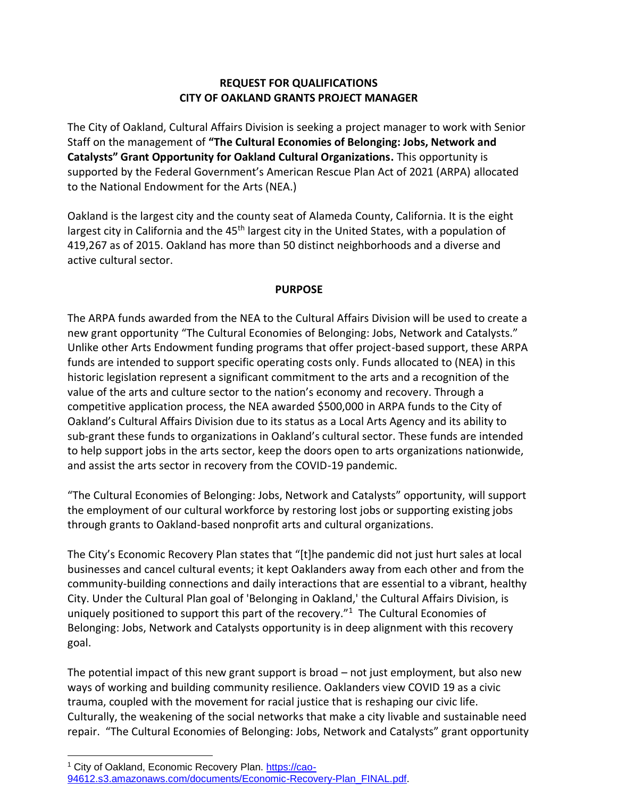### **REQUEST FOR QUALIFICATIONS CITY OF OAKLAND GRANTS PROJECT MANAGER**

The City of Oakland, Cultural Affairs Division is seeking a project manager to work with Senior Staff on the management of **"The Cultural Economies of Belonging: Jobs, Network and Catalysts" Grant Opportunity for Oakland Cultural Organizations.** This opportunity is supported by the Federal Government's American Rescue Plan Act of 2021 (ARPA) allocated to the National Endowment for the Arts (NEA.)

Oakland is the largest city and the county seat of Alameda County, California. It is the eight largest city in California and the  $45<sup>th</sup>$  largest city in the United States, with a population of 419,267 as of 2015. Oakland has more than 50 distinct neighborhoods and a diverse and active cultural sector.

#### **PURPOSE**

The ARPA funds awarded from the NEA to the Cultural Affairs Division will be used to create a new grant opportunity "The Cultural Economies of Belonging: Jobs, Network and Catalysts." Unlike other Arts Endowment funding programs that offer project-based support, these ARPA funds are intended to support specific operating costs only. Funds allocated to (NEA) in this historic legislation represent a significant commitment to the arts and a recognition of the value of the arts and culture sector to the nation's economy and recovery. Through a competitive application process, the NEA awarded \$500,000 in ARPA funds to the City of Oakland's Cultural Affairs Division due to its status as a Local Arts Agency and its ability to sub-grant these funds to organizations in Oakland's cultural sector. These funds are intended to help support jobs in the arts sector, keep the doors open to arts organizations nationwide, and assist the arts sector in recovery from the COVID-19 pandemic.

"The Cultural Economies of Belonging: Jobs, Network and Catalysts" opportunity, will support the employment of our cultural workforce by restoring lost jobs or supporting existing jobs through grants to Oakland-based nonprofit arts and cultural organizations.

The City's Economic Recovery Plan states that "[t]he pandemic did not just hurt sales at local businesses and cancel cultural events; it kept Oaklanders away from each other and from the community-building connections and daily interactions that are essential to a vibrant, healthy City. Under the Cultural Plan goal of 'Belonging in Oakland,' the Cultural Affairs Division, is uniquely positioned to support this part of the recovery."<sup>1</sup> The Cultural Economies of Belonging: Jobs, Network and Catalysts opportunity is in deep alignment with this recovery goal.

The potential impact of this new grant support is broad – not just employment, but also new ways of working and building community resilience. Oaklanders view COVID 19 as a civic trauma, coupled with the movement for racial justice that is reshaping our civic life. Culturally, the weakening of the social networks that make a city livable and sustainable need repair. "The Cultural Economies of Belonging: Jobs, Network and Catalysts" grant opportunity

<sup>&</sup>lt;sup>1</sup> City of Oakland, Economic Recovery Plan. [https://cao-](https://cao-94612.s3.amazonaws.com/documents/Economic-Recovery-Plan_FINAL.pdf)

[<sup>94612.</sup>s3.amazonaws.com/documents/Economic-Recovery-Plan\\_FINAL.pdf.](https://cao-94612.s3.amazonaws.com/documents/Economic-Recovery-Plan_FINAL.pdf)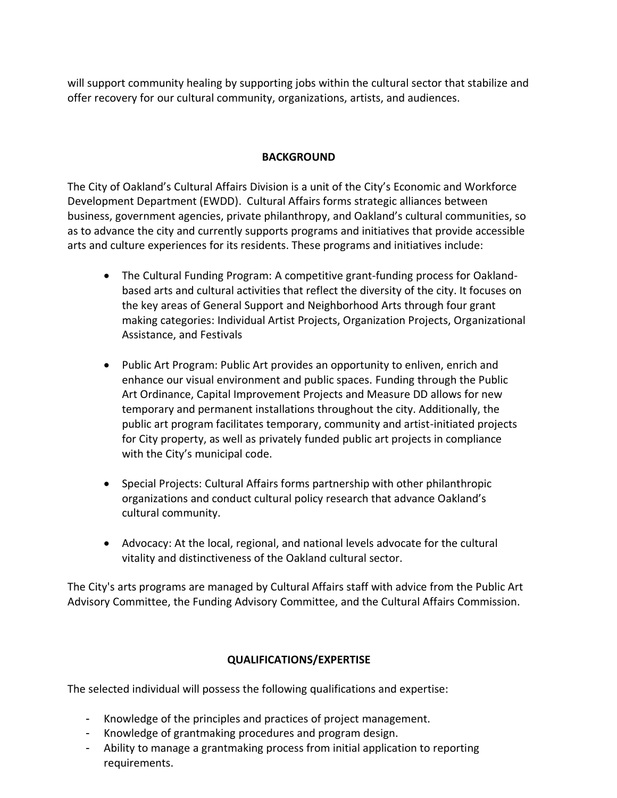will support community healing by supporting jobs within the cultural sector that stabilize and offer recovery for our cultural community, organizations, artists, and audiences.

### **BACKGROUND**

The City of Oakland's Cultural Affairs Division is a unit of the City's Economic and Workforce Development Department (EWDD). Cultural Affairs forms strategic alliances between business, government agencies, private philanthropy, and Oakland's cultural communities, so as to advance the city and currently supports programs and initiatives that provide accessible arts and culture experiences for its residents. These programs and initiatives include:

- The Cultural Funding Program: A competitive grant-funding process for Oaklandbased arts and cultural activities that reflect the diversity of the city. It focuses on the key areas of General Support and Neighborhood Arts through four grant making categories: Individual Artist Projects, Organization Projects, Organizational Assistance, and Festivals
- Public Art Program: Public Art provides an opportunity to enliven, enrich and enhance our visual environment and public spaces. Funding through the Public Art Ordinance, Capital Improvement Projects and Measure DD allows for new temporary and permanent installations throughout the city. Additionally, the public art program facilitates temporary, community and artist-initiated projects for City property, as well as privately funded public art projects in compliance with the City's municipal code.
- Special Projects: Cultural Affairs forms partnership with other philanthropic organizations and conduct cultural policy research that advance Oakland's cultural community.
- Advocacy: At the local, regional, and national levels advocate for the cultural vitality and distinctiveness of the Oakland cultural sector.

The City's arts programs are managed by Cultural Affairs staff with advice from the Public Art Advisory Committee, the Funding Advisory Committee, and the Cultural Affairs Commission.

### **QUALIFICATIONS/EXPERTISE**

The selected individual will possess the following qualifications and expertise:

- Knowledge of the principles and practices of project management.
- Knowledge of grantmaking procedures and program design.
- Ability to manage a grantmaking process from initial application to reporting requirements.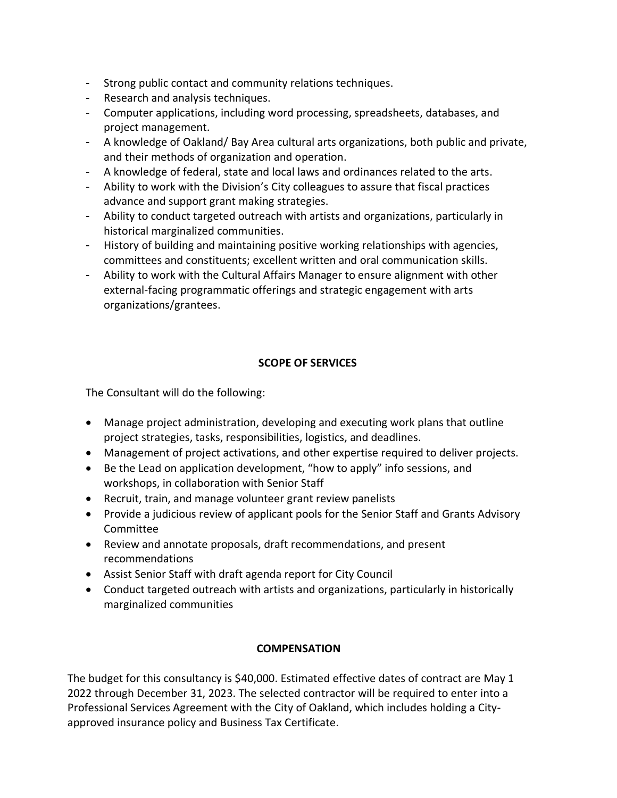- Strong public contact and community relations techniques.
- Research and analysis techniques.
- Computer applications, including word processing, spreadsheets, databases, and project management.
- A knowledge of Oakland/ Bay Area cultural arts organizations, both public and private, and their methods of organization and operation.
- A knowledge of federal, state and local laws and ordinances related to the arts.
- Ability to work with the Division's City colleagues to assure that fiscal practices advance and support grant making strategies.
- Ability to conduct targeted outreach with artists and organizations, particularly in historical marginalized communities.
- History of building and maintaining positive working relationships with agencies, committees and constituents; excellent written and oral communication skills.
- Ability to work with the Cultural Affairs Manager to ensure alignment with other external-facing programmatic offerings and strategic engagement with arts organizations/grantees.

## **SCOPE OF SERVICES**

The Consultant will do the following:

- Manage project administration, developing and executing work plans that outline project strategies, tasks, responsibilities, logistics, and deadlines.
- Management of project activations, and other expertise required to deliver projects.
- Be the Lead on application development, "how to apply" info sessions, and workshops, in collaboration with Senior Staff
- Recruit, train, and manage volunteer grant review panelists
- Provide a judicious review of applicant pools for the Senior Staff and Grants Advisory Committee
- Review and annotate proposals, draft recommendations, and present recommendations
- Assist Senior Staff with draft agenda report for City Council
- Conduct targeted outreach with artists and organizations, particularly in historically marginalized communities

### **COMPENSATION**

The budget for this consultancy is \$40,000. Estimated effective dates of contract are May 1 2022 through December 31, 2023. The selected contractor will be required to enter into a Professional Services Agreement with the City of Oakland, which includes holding a Cityapproved insurance policy and Business Tax Certificate.